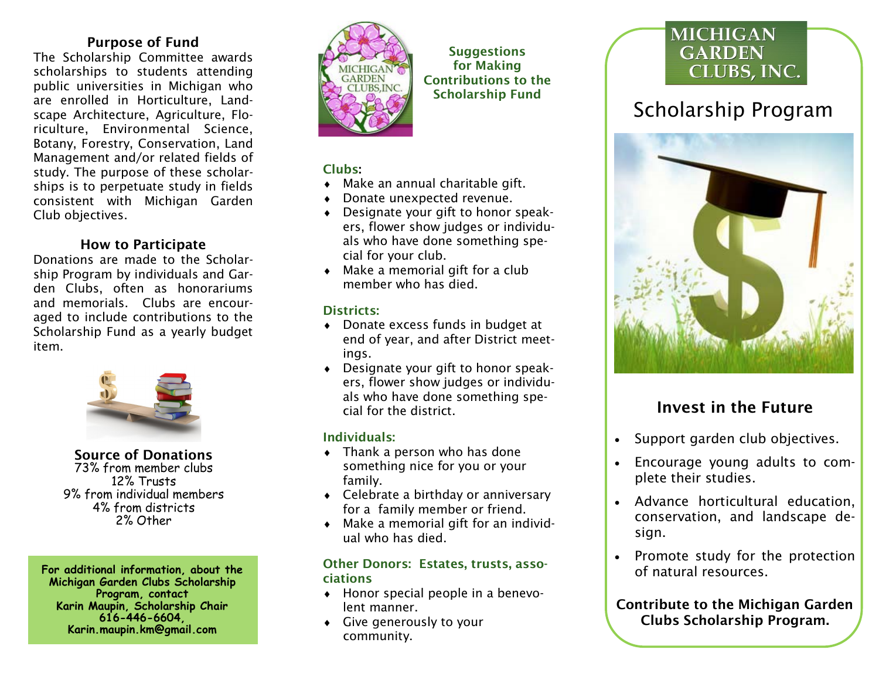## Purpose of Fund

The Scholarship Committee awards scholarships to students attending public universities in Michigan who are enrolled in Horticulture, Landscape Architecture, Agriculture, Floriculture, Environmental Science, Botany, Forestry, Conservation, Land Management and/or related fields of study. The purpose of these scholarships is to perpetuate study in fields consistent with Michigan Garden Club objectives.

### How to Participate

Donations are made to the Scholarship Program by individuals and Garden Clubs, often as honorariums and memorials. Clubs are encouraged to include contributions to the Scholarship Fund as a yearly budget item.



Source of Donations 73% from member clubs 12% Trusts 9% from individual members 4% from districts 2% Other

**For additional information, about the Michigan Garden Clubs Scholarship Program, contact Karin Maupin, Scholarship Chair 616-446-6604, Karin.maupin.km@gmail.com**



**Suggestions** for Making Contributions to the Scholarship Fund

### Clubs:

- Make an annual charitable gift.
- Donate unexpected revenue.
- Designate your gift to honor speakers, flower show judges or individuals who have done something special for your club.
- Make a memorial gift for a club member who has died.

### Districts:

- ◆ Donate excess funds in budget at end of year, and after District meetings.
- Designate your gift to honor speakers, flower show judges or individuals who have done something special for the district.

### Individuals:

- Thank a person who has done something nice for you or your family.
- ◆ Celebrate a birthday or anniversary for a family member or friend.
- Make a memorial gift for an individual who has died.

### Other Donors: Estates, trusts, associations

- Honor special people in a benevolent manner.
- Give generously to your community.

# **MICHIGAN GARDEN** CLUBS, INC.

# Scholarship Program



# Invest in the Future

- Support garden club objectives.
- Encourage young adults to complete their studies.
- Advance horticultural education, conservation, and landscape design.
- Promote study for the protection of natural resources.

Contribute to the Michigan Garden Clubs Scholarship Program.